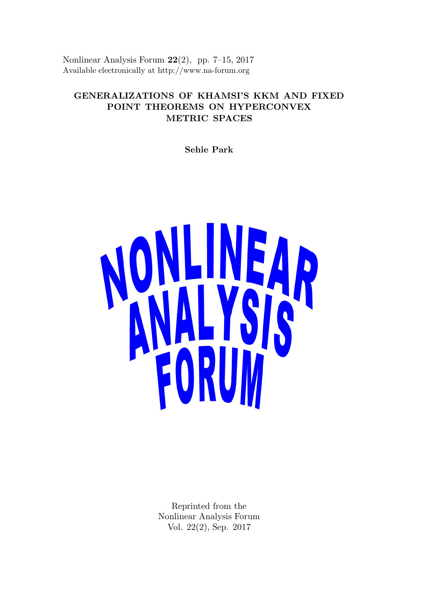Nonlinear Analysis Forum 22(2), pp. 7–15, 2017 Available electronically at http://www.na-forum.org

# GENERALIZATIONS OF KHAMSI'S KKM AND FIXED POINT THEOREMS ON HYPERCONVEX METRIC SPACES

Sehie Park



Reprinted from the Nonlinear Analysis Forum Vol. 22(2), Sep. 2017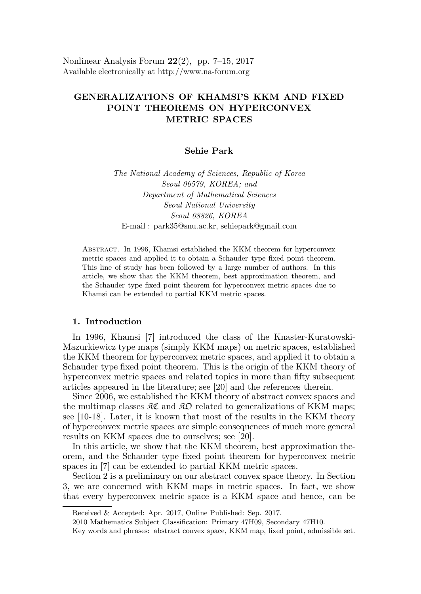Nonlinear Analysis Forum  $22(2)$ , pp. 7–15, 2017 Available electronically at http://www.na-forum.org

# GENERALIZATIONS OF KHAMSI'S KKM AND FIXED POINT THEOREMS ON HYPERCONVEX METRIC SPACES

### Sehie Park

The National Academy of Sciences, Republic of Korea Seoul 06579, KOREA; and Department of Mathematical Sciences Seoul National University Seoul 08826, KOREA E-mail : park35@snu.ac.kr, sehiepark@gmail.com

Abstract. In 1996, Khamsi established the KKM theorem for hyperconvex metric spaces and applied it to obtain a Schauder type fixed point theorem. This line of study has been followed by a large number of authors. In this article, we show that the KKM theorem, best approximation theorem, and the Schauder type fixed point theorem for hyperconvex metric spaces due to Khamsi can be extended to partial KKM metric spaces.

## 1. Introduction

In 1996, Khamsi [7] introduced the class of the Knaster-Kuratowski-Mazurkiewicz type maps (simply KKM maps) on metric spaces, established the KKM theorem for hyperconvex metric spaces, and applied it to obtain a Schauder type fixed point theorem. This is the origin of the KKM theory of hyperconvex metric spaces and related topics in more than fifty subsequent articles appeared in the literature; see [20] and the references therein.

Since 2006, we established the KKM theory of abstract convex spaces and the multimap classes  $\mathcal{RC}$  and  $\mathcal{RD}$  related to generalizations of KKM maps; see [10-18]. Later, it is known that most of the results in the KKM theory of hyperconvex metric spaces are simple consequences of much more general results on KKM spaces due to ourselves; see [20].

In this article, we show that the KKM theorem, best approximation theorem, and the Schauder type fixed point theorem for hyperconvex metric spaces in [7] can be extended to partial KKM metric spaces.

Section 2 is a preliminary on our abstract convex space theory. In Section 3, we are concerned with KKM maps in metric spaces. In fact, we show that every hyperconvex metric space is a KKM space and hence, can be

Received & Accepted: Apr. 2017, Online Published: Sep. 2017.

<sup>2010</sup> Mathematics Subject Classification: Primary 47H09, Secondary 47H10.

Key words and phrases: abstract convex space, KKM map, fixed point, admissible set.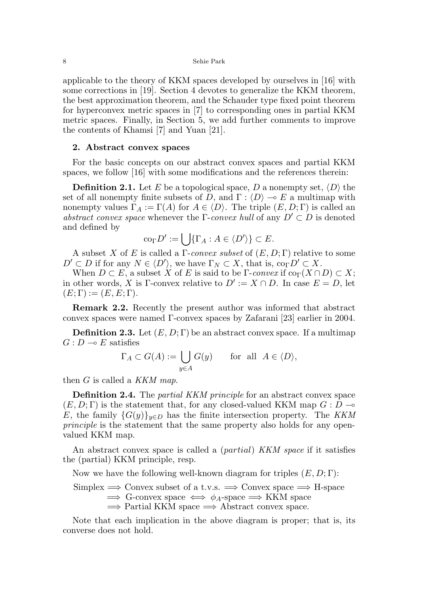8 Sehie Park

applicable to the theory of KKM spaces developed by ourselves in [16] with some corrections in [19]. Section 4 devotes to generalize the KKM theorem, the best approximation theorem, and the Schauder type fixed point theorem for hyperconvex metric spaces in [7] to corresponding ones in partial KKM metric spaces. Finally, in Section 5, we add further comments to improve the contents of Khamsi [7] and Yuan [21].

## 2. Abstract convex spaces

For the basic concepts on our abstract convex spaces and partial KKM spaces, we follow [16] with some modifications and the references therein:

**Definition 2.1.** Let E be a topological space, D a nonempty set,  $\langle D \rangle$  the set of all nonempty finite subsets of D, and  $\Gamma : \langle D \rangle \longrightarrow E$  a multimap with nonempty values  $\Gamma_A := \Gamma(A)$  for  $A \in \langle D \rangle$ . The triple  $(E, D; \Gamma)$  is called an abstract convex space whenever the Γ-convex hull of any  $D' \subset D$  is denoted and defined by

$$
\mathrm{co}_{\Gamma}D':=\bigcup\{\Gamma_A:A\in\langle D'\rangle\}\subset E.
$$

A subset X of E is called a  $\Gamma$ -convex subset of  $(E, D; \Gamma)$  relative to some  $D' \subset D$  if for any  $N \in \langle D' \rangle$ , we have  $\Gamma_N \subset X$ , that is,  $\text{co}_{\Gamma} D' \subset X$ .

When  $D \subset E$ , a subset X of E is said to be  $\Gamma$ -convex if co $\Gamma(X \cap D) \subset X$ ; in other words, X is Γ-convex relative to  $D' := X \cap D$ . In case  $E = D$ , let  $(E; \Gamma) := (E, E; \Gamma).$ 

Remark 2.2. Recently the present author was informed that abstract convex spaces were named Γ-convex spaces by Zafarani [23] earlier in 2004.

**Definition 2.3.** Let  $(E, D; \Gamma)$  be an abstract convex space. If a multimap  $G: D \longrightarrow E$  satisfies

$$
\Gamma_A \subset G(A) := \bigcup_{y \in A} G(y) \quad \text{for all } A \in \langle D \rangle,
$$

then  $G$  is called a KKM map.

**Definition 2.4.** The *partial KKM principle* for an abstract convex space  $(E, D; \Gamma)$  is the statement that, for any closed-valued KKM map  $G: D \rightarrow$ E, the family  $\{G(y)\}_{y\in D}$  has the finite intersection property. The KKM principle is the statement that the same property also holds for any openvalued KKM map.

An abstract convex space is called a *(partial) KKM space* if it satisfies the (partial) KKM principle, resp.

Now we have the following well-known diagram for triples  $(E, D; \Gamma)$ :

 $Simplex \Longrightarrow Convex subset of a t.v.s. \Longrightarrow Convex space \Longrightarrow H-space$ 

 $\implies$  G-convex space  $\iff \phi_A$ -space  $\implies$  KKM space

 $\Rightarrow$  Partial KKM space  $\Rightarrow$  Abstract convex space.

Note that each implication in the above diagram is proper; that is, its converse does not hold.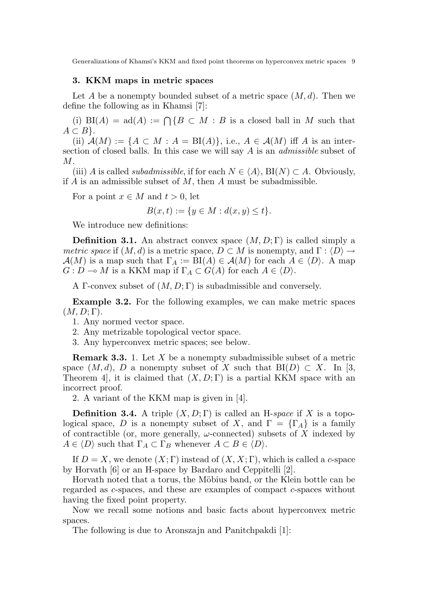#### 3. KKM maps in metric spaces

Let A be a nonempty bounded subset of a metric space  $(M, d)$ . Then we define the following as in Khamsi [7]:

(i)  $BI(A) = ad(A) := \bigcap \{ B \subset M : B$  is a closed ball in M such that  $A \subset B$ .

(ii)  $\mathcal{A}(M) := \{A \subset M : A = \text{BI}(A)\}\text{, i.e., } A \in \mathcal{A}(M) \text{ iff } A \text{ is an inter-}$ section of closed balls. In this case we will say  $A$  is an *admissible* subset of M.

(iii) A is called *subadmissible*, if for each  $N \in \langle A \rangle$ , BI(N)  $\subset A$ . Obviously, if  $A$  is an admissible subset of  $M$ , then  $A$  must be subadmissible.

For a point  $x \in M$  and  $t > 0$ , let

$$
B(x,t) := \{ y \in M : d(x,y) \le t \}.
$$

We introduce new definitions:

**Definition 3.1.** An abstract convex space  $(M, D; \Gamma)$  is called simply a metric space if  $(M, d)$  is a metric space,  $D \subset M$  is nonempty, and  $\Gamma : \langle D \rangle \to$  $\mathcal{A}(M)$  is a map such that  $\Gamma_A := \text{BI}(A) \in \mathcal{A}(M)$  for each  $A \in \langle D \rangle$ . A map  $G: D \longrightarrow M$  is a KKM map if  $\Gamma_A \subset G(A)$  for each  $A \in \langle D \rangle$ .

A Γ-convex subset of  $(M, D; \Gamma)$  is subadmissible and conversely.

Example 3.2. For the following examples, we can make metric spaces  $(M, D; \Gamma).$ 

- 1. Any normed vector space.
- 2. Any metrizable topological vector space.
- 3. Any hyperconvex metric spaces; see below.

**Remark 3.3.** 1. Let  $X$  be a nonempty subadmissible subset of a metric space  $(M, d)$ , D a nonempty subset of X such that  $B(D) \subset X$ . In [3, Theorem 4, it is claimed that  $(X, D; \Gamma)$  is a partial KKM space with an incorrect proof.

2. A variant of the KKM map is given in [4].

**Definition 3.4.** A triple  $(X, D; \Gamma)$  is called an H-space if X is a topological space, D is a nonempty subset of X, and  $\Gamma = {\lbrace \Gamma_A \rbrace}$  is a family of contractible (or, more generally,  $\omega$ -connected) subsets of X indexed by  $A \in \langle D \rangle$  such that  $\Gamma_A \subset \Gamma_B$  whenever  $A \subset B \in \langle D \rangle$ .

If  $D = X$ , we denote  $(X; \Gamma)$  instead of  $(X, X; \Gamma)$ , which is called a c-space by Horvath [6] or an H-space by Bardaro and Ceppitelli [2].

Horvath noted that a torus, the Möbius band, or the Klein bottle can be regarded as c-spaces, and these are examples of compact c-spaces without having the fixed point property.

Now we recall some notions and basic facts about hyperconvex metric spaces.

The following is due to Aronszajn and Panitchpakdi [1]: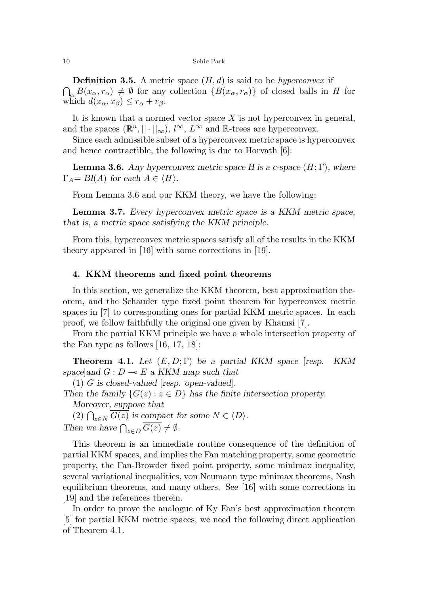**Definition 3.5.** A metric space  $(H, d)$  is said to be *hyperconvex* if  $\bigcap_{\alpha} B(x_{\alpha}, r_{\alpha}) \neq \emptyset$  for any collection  $\{B(x_{\alpha}, r_{\alpha})\}$  of closed balls in H for which  $d(x_{\alpha}, x_{\beta}) \leq r_{\alpha} + r_{\beta}$ .

It is known that a normed vector space  $X$  is not hyperconvex in general, and the spaces  $(\mathbb{R}^n, || \cdot ||_{\infty}), l^{\infty}, L^{\infty}$  and  $\mathbb{R}$ -trees are hyperconvex.

Since each admissible subset of a hyperconvex metric space is hyperconvex and hence contractible, the following is due to Horvath [6]:

**Lemma 3.6.** Any hyperconvex metric space H is a c-space  $(H; \Gamma)$ , where  $\Gamma_A = BI(A)$  for each  $A \in \langle H \rangle$ .

From Lemma 3.6 and our KKM theory, we have the following:

Lemma 3.7. Every hyperconvex metric space is a KKM metric space, that is, a metric space satisfying the KKM principle.

From this, hyperconvex metric spaces satisfy all of the results in the KKM theory appeared in [16] with some corrections in [19].

### 4. KKM theorems and fixed point theorems

In this section, we generalize the KKM theorem, best approximation theorem, and the Schauder type fixed point theorem for hyperconvex metric spaces in [7] to corresponding ones for partial KKM metric spaces. In each proof, we follow faithfully the original one given by Khamsi [7].

From the partial KKM principle we have a whole intersection property of the Fan type as follows [16, 17, 18]:

**Theorem 4.1.** Let  $(E, D; \Gamma)$  be a partial KKM space [resp. KKM] space]and  $G: D \to E$  a KKM map such that

(1) G is closed-valued [resp. open-valued].

Then the family  $\{G(z) : z \in D\}$  has the finite intersection property. Moreover, suppose that

(2)  $\bigcap_{z \in N} G(z)$  is compact for some  $N \in \langle D \rangle$ . Then we have  $\bigcap_{z\in D} G(z) \neq \emptyset$ .

This theorem is an immediate routine consequence of the definition of partial KKM spaces, and implies the Fan matching property, some geometric property, the Fan-Browder fixed point property, some minimax inequality, several variational inequalities, von Neumann type minimax theorems, Nash equilibrium theorems, and many others. See [16] with some corrections in [19] and the references therein.

In order to prove the analogue of Ky Fan's best approximation theorem [5] for partial KKM metric spaces, we need the following direct application of Theorem 4.1.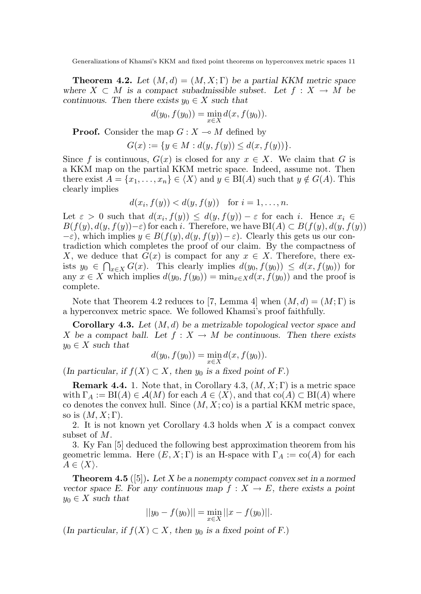**Theorem 4.2.** Let  $(M, d) = (M, X; \Gamma)$  be a partial KKM metric space where  $X \subset M$  is a compact subadmissible subset. Let  $f : X \to M$  be continuous. Then there exists  $y_0 \in X$  such that

$$
d(y_0, f(y_0)) = \min_{x \in X} d(x, f(y_0)).
$$

**Proof.** Consider the map  $G: X \to M$  defined by

$$
G(x) := \{ y \in M : d(y, f(y)) \le d(x, f(y)) \}.
$$

Since f is continuous,  $G(x)$  is closed for any  $x \in X$ . We claim that G is a KKM map on the partial KKM metric space. Indeed, assume not. Then there exist  $A = \{x_1, \ldots, x_n\} \in \langle X \rangle$  and  $y \in \text{BI}(A)$  such that  $y \notin G(A)$ . This clearly implies

$$
d(x_i, f(y)) < d(y, f(y))
$$
 for  $i = 1, ..., n$ .

Let  $\varepsilon > 0$  such that  $d(x_i, f(y)) \leq d(y, f(y)) - \varepsilon$  for each i. Hence  $x_i \in$  $B(f(y), d(y, f(y))-\varepsilon)$  for each i. Therefore, we have  $B(I(A) \subset B(f(y), d(y, f(y)))$  $-\varepsilon$ ), which implies  $y \in B(f(y), d(y, f(y)) - \varepsilon)$ . Clearly this gets us our contradiction which completes the proof of our claim. By the compactness of X, we deduce that  $G(x)$  is compact for any  $x \in X$ . Therefore, there exists  $y_0 \in \bigcap_{x \in X} G(x)$ . This clearly implies  $d(y_0, f(y_0)) \leq d(x, f(y_0))$  for any  $x \in X$  which implies  $d(y_0, f(y_0)) = \min_{x \in X} d(x, f(y_0))$  and the proof is complete.

Note that Theorem 4.2 reduces to [7, Lemma 4] when  $(M, d) = (M; \Gamma)$  is a hyperconvex metric space. We followed Khamsi's proof faithfully.

**Corollary 4.3.** Let  $(M, d)$  be a metrizable topological vector space and X be a compact ball. Let  $f: X \to M$  be continuous. Then there exists  $y_0 \in X$  such that

$$
d(y_0, f(y_0)) = \min_{x \in X} d(x, f(y_0)).
$$

(In particular, if  $f(X) \subset X$ , then  $y_0$  is a fixed point of F.)

**Remark 4.4.** 1. Note that, in Corollary 4.3,  $(M, X; \Gamma)$  is a metric space with  $\Gamma_A := \text{BI}(A) \in \mathcal{A}(M)$  for each  $A \in \langle X \rangle$ , and that  $\text{co}(A) \subset \text{BI}(A)$  where co denotes the convex hull. Since  $(M, X; \text{co})$  is a partial KKM metric space, so is  $(M, X; \Gamma)$ .

2. It is not known yet Corollary 4.3 holds when  $X$  is a compact convex subset of M.

3. Ky Fan [5] deduced the following best approximation theorem from his geometric lemma. Here  $(E, X; \Gamma)$  is an H-space with  $\Gamma_A := \text{co}(A)$  for each  $A \in \langle X \rangle$ .

**Theorem 4.5** ([5]). Let X be a nonempty compact convex set in a normed vector space E. For any continuous map  $f: X \to E$ , there exists a point  $y_0 \in X$  such that

$$
||y_0 - f(y_0)|| = \min_{x \in X} ||x - f(y_0)||.
$$

(In particular, if  $f(X) \subset X$ , then  $y_0$  is a fixed point of F.)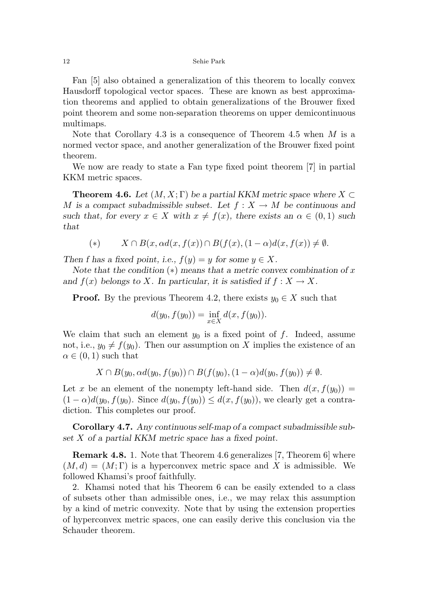#### 12 Sehie Park

Fan [5] also obtained a generalization of this theorem to locally convex Hausdorff topological vector spaces. These are known as best approximation theorems and applied to obtain generalizations of the Brouwer fixed point theorem and some non-separation theorems on upper demicontinuous multimaps.

Note that Corollary 4.3 is a consequence of Theorem 4.5 when  $M$  is a normed vector space, and another generalization of the Brouwer fixed point theorem.

We now are ready to state a Fan type fixed point theorem [7] in partial KKM metric spaces.

**Theorem 4.6.** Let  $(M, X; \Gamma)$  be a partial KKM metric space where  $X \subset \Gamma$ M is a compact subadmissible subset. Let  $f: X \to M$  be continuous and such that, for every  $x \in X$  with  $x \neq f(x)$ , there exists an  $\alpha \in (0,1)$  such that

$$
(*) \qquad X \cap B(x, \alpha d(x, f(x)) \cap B(f(x), (1 - \alpha)d(x, f(x))) \neq \emptyset.
$$

Then f has a fixed point, i.e.,  $f(y) = y$  for some  $y \in X$ .

Note that the condition  $(*)$  means that a metric convex combination of x and  $f(x)$  belongs to X. In particular, it is satisfied if  $f: X \to X$ .

**Proof.** By the previous Theorem 4.2, there exists  $y_0 \in X$  such that

$$
d(y_0, f(y_0)) = \inf_{x \in X} d(x, f(y_0)).
$$

We claim that such an element  $y_0$  is a fixed point of f. Indeed, assume not, i.e.,  $y_0 \neq f(y_0)$ . Then our assumption on X implies the existence of an  $\alpha \in (0,1)$  such that

$$
X \cap B(y_0, \alpha d(y_0, f(y_0)) \cap B(f(y_0), (1-\alpha)d(y_0, f(y_0)) \neq \emptyset.
$$

Let x be an element of the nonempty left-hand side. Then  $d(x, f(y_0)) =$  $(1 - \alpha)d(y_0, f(y_0))$ . Since  $d(y_0, f(y_0)) \leq d(x, f(y_0))$ , we clearly get a contradiction. This completes our proof.

Corollary 4.7. Any continuous self-map of a compact subadmissible subset X of a partial KKM metric space has a fixed point.

**Remark 4.8.** 1. Note that Theorem 4.6 generalizes [7, Theorem 6] where  $(M, d) = (M; \Gamma)$  is a hyperconvex metric space and X is admissible. We followed Khamsi's proof faithfully.

2. Khamsi noted that his Theorem 6 can be easily extended to a class of subsets other than admissible ones, i.e., we may relax this assumption by a kind of metric convexity. Note that by using the extension properties of hyperconvex metric spaces, one can easily derive this conclusion via the Schauder theorem.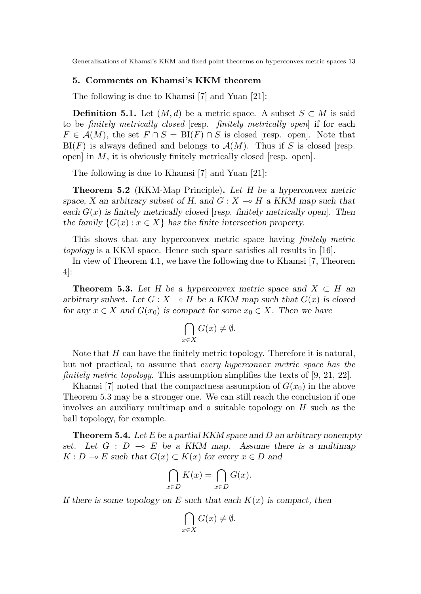#### 5. Comments on Khamsi's KKM theorem

The following is due to Khamsi [7] and Yuan [21]:

**Definition 5.1.** Let  $(M, d)$  be a metric space. A subset  $S \subset M$  is said to be finitely metrically closed [resp. finitely metrically open] if for each  $F \in \mathcal{A}(M)$ , the set  $F \cap S = \text{BI}(F) \cap S$  is closed [resp. open]. Note that  $B(F)$  is always defined and belongs to  $\mathcal{A}(M)$ . Thus if S is closed [resp. open] in  $M$ , it is obviously finitely metrically closed [resp. open].

The following is due to Khamsi [7] and Yuan [21]:

**Theorem 5.2** (KKM-Map Principle). Let H be a hyperconvex metric space, X an arbitrary subset of H, and  $G: X \rightarrow H$  a KKM map such that each  $G(x)$  is finitely metrically closed [resp. finitely metrically open]. Then the family  $\{G(x): x \in X\}$  has the finite intersection property.

This shows that any hyperconvex metric space having *finitely metric* topology is a KKM space. Hence such space satisfies all results in [16].

In view of Theorem 4.1, we have the following due to Khamsi [7, Theorem 4]:

**Theorem 5.3.** Let H be a hyperconvex metric space and  $X \subset H$  and arbitrary subset. Let  $G: X \to H$  be a KKM map such that  $G(x)$  is closed for any  $x \in X$  and  $G(x_0)$  is compact for some  $x_0 \in X$ . Then we have

$$
\bigcap_{x \in X} G(x) \neq \emptyset.
$$

Note that  $H$  can have the finitely metric topology. Therefore it is natural, but not practical, to assume that every hyperconvex metric space has the finitely metric topology. This assumption simplifies the texts of [9, 21, 22].

Khamsi [7] noted that the compactness assumption of  $G(x_0)$  in the above Theorem 5.3 may be a stronger one. We can still reach the conclusion if one involves an auxiliary multimap and a suitable topology on H such as the ball topology, for example.

**Theorem 5.4.** Let E be a partial KKM space and D an arbitrary nonempty set. Let  $G : D \multimap E$  be a KKM map. Assume there is a multimap  $K : D \multimap E$  such that  $G(x) \subset K(x)$  for every  $x \in D$  and

$$
\bigcap_{x \in D} K(x) = \bigcap_{x \in D} G(x).
$$

If there is some topology on E such that each  $K(x)$  is compact, then

$$
\bigcap_{x \in X} G(x) \neq \emptyset.
$$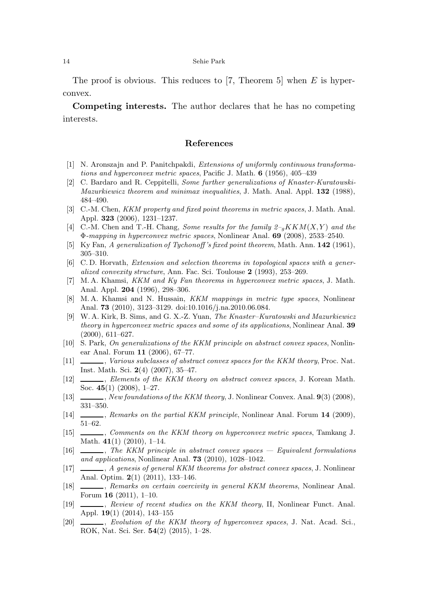#### 14 Sehie Park

The proof is obvious. This reduces to [7, Theorem 5] when  $E$  is hyperconvex.

Competing interests. The author declares that he has no competing interests.

### References

- [1] N. Aronszajn and P. Panitchpakdi, Extensions of uniformly continuous transformations and hyperconvex metric spaces, Pacific J. Math. 6 (1956), 405–439
- [2] C. Bardaro and R. Ceppitelli, Some further generalizations of Knaster-Kuratowski-Mazurkiewicz theorem and minimax inequalities, J. Math. Anal. Appl. 132 (1988), 484–490.
- [3] C.-M. Chen, *KKM property and fixed point theorems in metric spaces*, J. Math. Anal. Appl. 323 (2006), 1231–1237.
- [4] C.-M. Chen and T.-H. Chang, Some results for the family  $2-gKKM(X,Y)$  and the Φ-mapping in hyperconvex metric spaces, Nonlinear Anal. 69 (2008), 2533–2540.
- [5] Ky Fan, A generalization of Tychonoff's fixed point theorem, Math. Ann. 142 (1961), 305–310.
- [6] C. D. Horvath, Extension and selection theorems in topological spaces with a generalized convexity structure, Ann. Fac. Sci. Toulouse 2 (1993), 253–269.
- [7] M. A. Khamsi, KKM and Ky Fan theorems in hyperconvex metric spaces, J. Math. Anal. Appl. 204 (1996), 298–306.
- [8] M. A. Khamsi and N. Hussain, KKM mappings in metric type spaces, Nonlinear Anal. 73 (2010), 3123–3129. doi:10.1016/j.na.2010.06.084.
- [9] W. A. Kirk, B. Sims, and G. X.-Z. Yuan, The Knaster–Kuratowski and Mazurkiewicz theory in hyperconvex metric spaces and some of its applications, Nonlinear Anal. 39 (2000), 611–627.
- [10] S. Park, On generalizations of the KKM principle on abstract convex spaces, Nonlinear Anal. Forum 11 (2006), 67–77.
- [11] , Various subclasses of abstract convex spaces for the KKM theory, Proc. Nat. Inst. Math. Sci. 2(4) (2007), 35–47.
- [12] , Elements of the KKM theory on abstract convex spaces, J. Korean Math. Soc. 45(1) (2008), 1–27.
- [13] , New foundations of the KKM theory, J. Nonlinear Convex. Anal.  $9(3)$  (2008), 331–350.
- [14] , Remarks on the partial KKM principle, Nonlinear Anal. Forum 14 (2009), 51–62.
- [15] , Comments on the KKM theory on hyperconvex metric spaces, Tamkang J. Math.  $41(1)$  (2010), 1-14.
- $[16]$  , The KKM principle in abstract convex spaces Equivalent formulations and applications, Nonlinear Anal. 73 (2010), 1028–1042.
- [17]  $\ldots$ , A genesis of general KKM theorems for abstract convex spaces, J. Nonlinear Anal. Optim. 2(1) (2011), 133–146.
- [18] , Remarks on certain coercivity in general KKM theorems, Nonlinear Anal. Forum 16 (2011), 1–10.
- [19] , Review of recent studies on the KKM theory, II, Nonlinear Funct. Anal. Appl. 19(1) (2014), 143–155
- [20] , Evolution of the KKM theory of hyperconvex spaces, J. Nat. Acad. Sci., ROK, Nat. Sci. Ser. 54(2) (2015), 1–28.